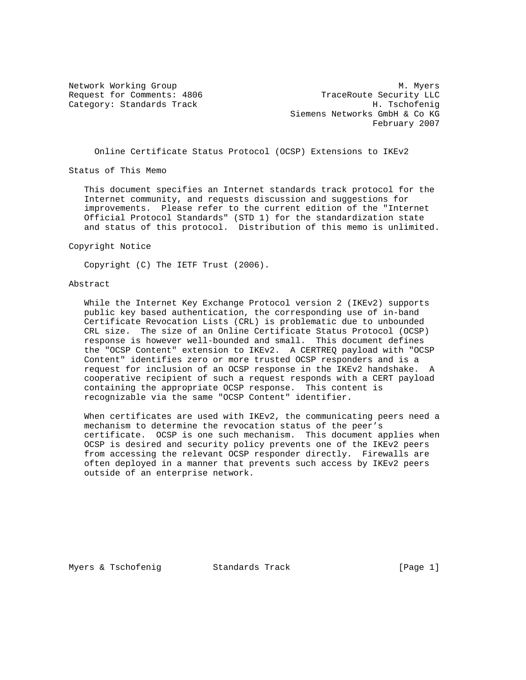Category: Standards Track

Network Working Group Methods and Muslim Muslim Muslim Muslim Muslim Muslim Muslim Muslim Muslim Muslim Muslim Request for Comments: 4806 TraceRoute Security LLC<br>Category: Standards Track Base (Baseb) H. Tschofenig Siemens Networks GmbH & Co KG February 2007

## Online Certificate Status Protocol (OCSP) Extensions to IKEv2

Status of This Memo

 This document specifies an Internet standards track protocol for the Internet community, and requests discussion and suggestions for improvements. Please refer to the current edition of the "Internet Official Protocol Standards" (STD 1) for the standardization state and status of this protocol. Distribution of this memo is unlimited.

Copyright Notice

Copyright (C) The IETF Trust (2006).

### Abstract

 While the Internet Key Exchange Protocol version 2 (IKEv2) supports public key based authentication, the corresponding use of in-band Certificate Revocation Lists (CRL) is problematic due to unbounded CRL size. The size of an Online Certificate Status Protocol (OCSP) response is however well-bounded and small. This document defines the "OCSP Content" extension to IKEv2. A CERTREQ payload with "OCSP Content" identifies zero or more trusted OCSP responders and is a request for inclusion of an OCSP response in the IKEv2 handshake. A cooperative recipient of such a request responds with a CERT payload containing the appropriate OCSP response. This content is recognizable via the same "OCSP Content" identifier.

 When certificates are used with IKEv2, the communicating peers need a mechanism to determine the revocation status of the peer's certificate. OCSP is one such mechanism. This document applies when OCSP is desired and security policy prevents one of the IKEv2 peers from accessing the relevant OCSP responder directly. Firewalls are often deployed in a manner that prevents such access by IKEv2 peers outside of an enterprise network.

Myers & Tschofenig Standards Track [Page 1]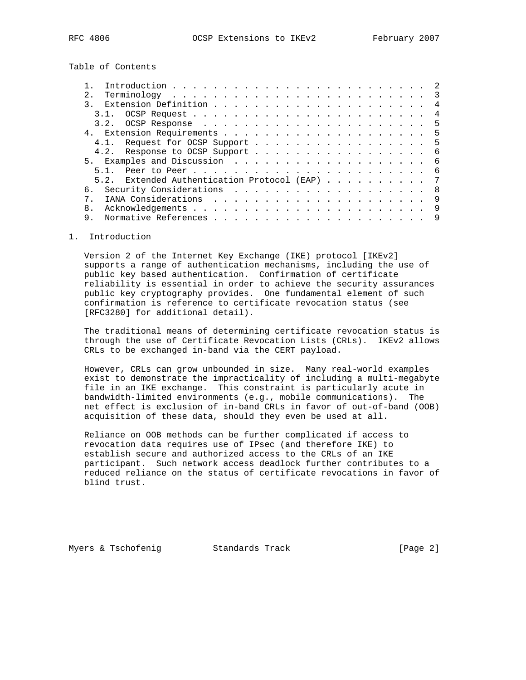Table of Contents

| 2.1                                              |                |
|--------------------------------------------------|----------------|
|                                                  |                |
|                                                  | 4              |
|                                                  |                |
|                                                  |                |
| 4.1. Request for OCSP Support 5                  |                |
| 4.2. Response to OCSP Support 6                  |                |
|                                                  |                |
|                                                  |                |
| Extended Authentication Protocol (EAP) 7<br>5.2. |                |
|                                                  | - 8            |
| 7                                                | $\overline{9}$ |
|                                                  |                |
| 9.                                               |                |
|                                                  |                |

## 1. Introduction

 Version 2 of the Internet Key Exchange (IKE) protocol [IKEv2] supports a range of authentication mechanisms, including the use of public key based authentication. Confirmation of certificate reliability is essential in order to achieve the security assurances public key cryptography provides. One fundamental element of such confirmation is reference to certificate revocation status (see [RFC3280] for additional detail).

 The traditional means of determining certificate revocation status is through the use of Certificate Revocation Lists (CRLs). IKEv2 allows CRLs to be exchanged in-band via the CERT payload.

 However, CRLs can grow unbounded in size. Many real-world examples exist to demonstrate the impracticality of including a multi-megabyte file in an IKE exchange. This constraint is particularly acute in bandwidth-limited environments (e.g., mobile communications). The net effect is exclusion of in-band CRLs in favor of out-of-band (OOB) acquisition of these data, should they even be used at all.

 Reliance on OOB methods can be further complicated if access to revocation data requires use of IPsec (and therefore IKE) to establish secure and authorized access to the CRLs of an IKE participant. Such network access deadlock further contributes to a reduced reliance on the status of certificate revocations in favor of blind trust.

Myers & Tschofenig Track Track [Page 2]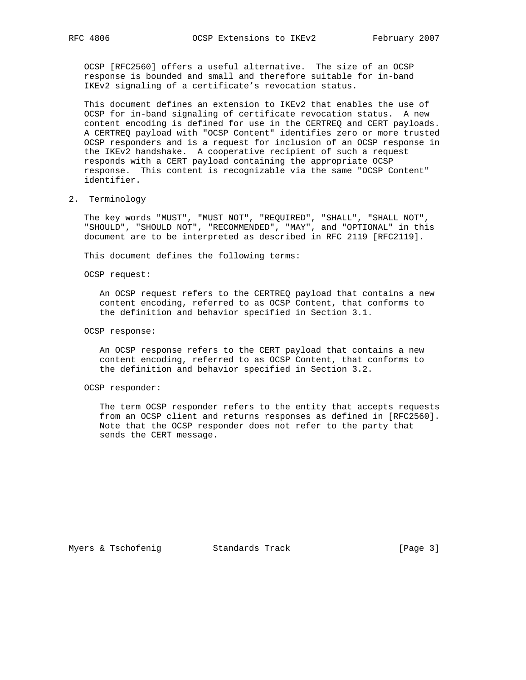OCSP [RFC2560] offers a useful alternative. The size of an OCSP response is bounded and small and therefore suitable for in-band IKEv2 signaling of a certificate's revocation status.

 This document defines an extension to IKEv2 that enables the use of OCSP for in-band signaling of certificate revocation status. A new content encoding is defined for use in the CERTREQ and CERT payloads. A CERTREQ payload with "OCSP Content" identifies zero or more trusted OCSP responders and is a request for inclusion of an OCSP response in the IKEv2 handshake. A cooperative recipient of such a request responds with a CERT payload containing the appropriate OCSP response. This content is recognizable via the same "OCSP Content" identifier.

#### 2. Terminology

 The key words "MUST", "MUST NOT", "REQUIRED", "SHALL", "SHALL NOT", "SHOULD", "SHOULD NOT", "RECOMMENDED", "MAY", and "OPTIONAL" in this document are to be interpreted as described in RFC 2119 [RFC2119].

This document defines the following terms:

OCSP request:

 An OCSP request refers to the CERTREQ payload that contains a new content encoding, referred to as OCSP Content, that conforms to the definition and behavior specified in Section 3.1.

#### OCSP response:

 An OCSP response refers to the CERT payload that contains a new content encoding, referred to as OCSP Content, that conforms to the definition and behavior specified in Section 3.2.

### OCSP responder:

 The term OCSP responder refers to the entity that accepts requests from an OCSP client and returns responses as defined in [RFC2560]. Note that the OCSP responder does not refer to the party that sends the CERT message.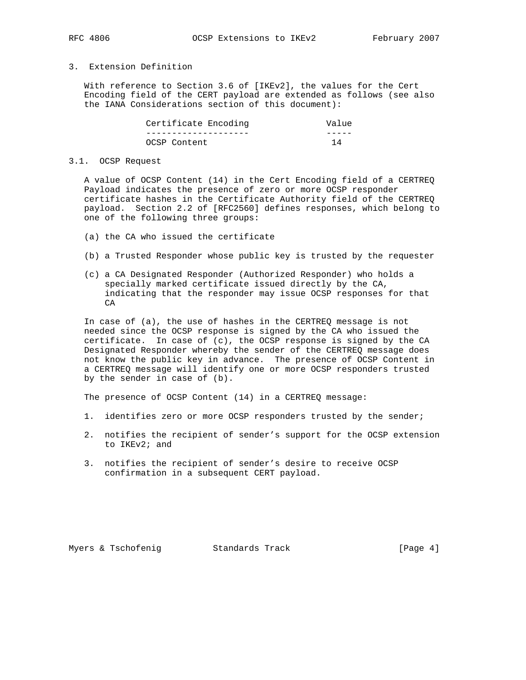# 3. Extension Definition

 With reference to Section 3.6 of [IKEv2], the values for the Cert Encoding field of the CERT payload are extended as follows (see also the IANA Considerations section of this document):

| Certificate Encoding | Value |
|----------------------|-------|
|                      |       |
| OCSP Content         |       |

#### 3.1. OCSP Request

 A value of OCSP Content (14) in the Cert Encoding field of a CERTREQ Payload indicates the presence of zero or more OCSP responder certificate hashes in the Certificate Authority field of the CERTREQ payload. Section 2.2 of [RFC2560] defines responses, which belong to one of the following three groups:

- (a) the CA who issued the certificate
- (b) a Trusted Responder whose public key is trusted by the requester
- (c) a CA Designated Responder (Authorized Responder) who holds a specially marked certificate issued directly by the CA, indicating that the responder may issue OCSP responses for that CA

 In case of (a), the use of hashes in the CERTREQ message is not needed since the OCSP response is signed by the CA who issued the certificate. In case of (c), the OCSP response is signed by the CA Designated Responder whereby the sender of the CERTREQ message does not know the public key in advance. The presence of OCSP Content in a CERTREQ message will identify one or more OCSP responders trusted by the sender in case of (b).

The presence of OCSP Content (14) in a CERTREQ message:

- 1. identifies zero or more OCSP responders trusted by the sender;
- 2. notifies the recipient of sender's support for the OCSP extension to IKEv2; and
- 3. notifies the recipient of sender's desire to receive OCSP confirmation in a subsequent CERT payload.

Myers & Tschofenig and Standards Track and Standards (Page 4)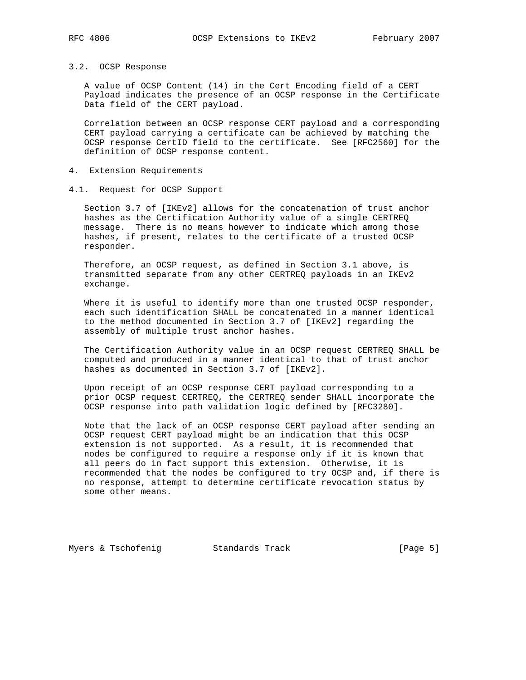#### 3.2. OCSP Response

 A value of OCSP Content (14) in the Cert Encoding field of a CERT Payload indicates the presence of an OCSP response in the Certificate Data field of the CERT payload.

 Correlation between an OCSP response CERT payload and a corresponding CERT payload carrying a certificate can be achieved by matching the OCSP response CertID field to the certificate. See [RFC2560] for the definition of OCSP response content.

- 4. Extension Requirements
- 4.1. Request for OCSP Support

 Section 3.7 of [IKEv2] allows for the concatenation of trust anchor hashes as the Certification Authority value of a single CERTREQ message. There is no means however to indicate which among those hashes, if present, relates to the certificate of a trusted OCSP responder.

 Therefore, an OCSP request, as defined in Section 3.1 above, is transmitted separate from any other CERTREQ payloads in an IKEv2 exchange.

Where it is useful to identify more than one trusted OCSP responder, each such identification SHALL be concatenated in a manner identical to the method documented in Section 3.7 of [IKEv2] regarding the assembly of multiple trust anchor hashes.

 The Certification Authority value in an OCSP request CERTREQ SHALL be computed and produced in a manner identical to that of trust anchor hashes as documented in Section 3.7 of [IKEv2].

 Upon receipt of an OCSP response CERT payload corresponding to a prior OCSP request CERTREQ, the CERTREQ sender SHALL incorporate the OCSP response into path validation logic defined by [RFC3280].

 Note that the lack of an OCSP response CERT payload after sending an OCSP request CERT payload might be an indication that this OCSP extension is not supported. As a result, it is recommended that nodes be configured to require a response only if it is known that all peers do in fact support this extension. Otherwise, it is recommended that the nodes be configured to try OCSP and, if there is no response, attempt to determine certificate revocation status by some other means.

Myers & Tschofenig Track Track [Page 5]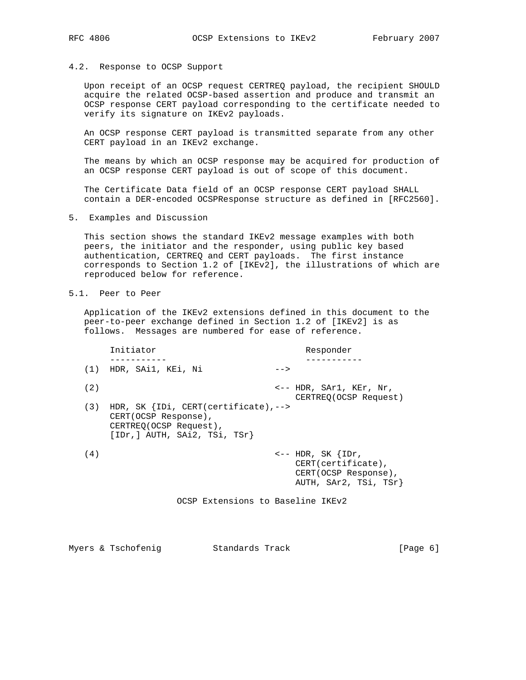### 4.2. Response to OCSP Support

 Upon receipt of an OCSP request CERTREQ payload, the recipient SHOULD acquire the related OCSP-based assertion and produce and transmit an OCSP response CERT payload corresponding to the certificate needed to verify its signature on IKEv2 payloads.

 An OCSP response CERT payload is transmitted separate from any other CERT payload in an IKEv2 exchange.

 The means by which an OCSP response may be acquired for production of an OCSP response CERT payload is out of scope of this document.

 The Certificate Data field of an OCSP response CERT payload SHALL contain a DER-encoded OCSPResponse structure as defined in [RFC2560].

5. Examples and Discussion

 This section shows the standard IKEv2 message examples with both peers, the initiator and the responder, using public key based authentication, CERTREQ and CERT payloads. The first instance corresponds to Section 1.2 of [IKEv2], the illustrations of which are reproduced below for reference.

5.1. Peer to Peer

 Application of the IKEv2 extensions defined in this document to the peer-to-peer exchange defined in Section 1.2 of [IKEv2] is as follows. Messages are numbered for ease of reference.

|     | Initiator                                                                                                                     |      | Responder                                                    |
|-----|-------------------------------------------------------------------------------------------------------------------------------|------|--------------------------------------------------------------|
|     |                                                                                                                               |      |                                                              |
| (1) | HDR, SAil, KEi, Ni                                                                                                            | $--$ |                                                              |
| (2) |                                                                                                                               |      | $\leftarrow$ - HDR, SAr1, KEr, Nr,<br>CERTREO (OCSP Request) |
| (3) | HDR, SK $\{IDi, CERT(certificeate), --\}$<br>CERT(OCSP Response),<br>CERTREO (OCSP Request),<br>[IDr, ] AUTH, SAi2, TSi, TSr} |      |                                                              |
| (4) |                                                                                                                               |      | $\leftarrow$ -- HDR, SK $\{IDr,$<br>$CERT(certificate)$ ,    |

OCSP Extensions to Baseline IKEv2

 CERT(OCSP Response), AUTH, SAr2, TSi, TSr}

Myers & Tschofenig and Standards Track and Standards Track (Page 6)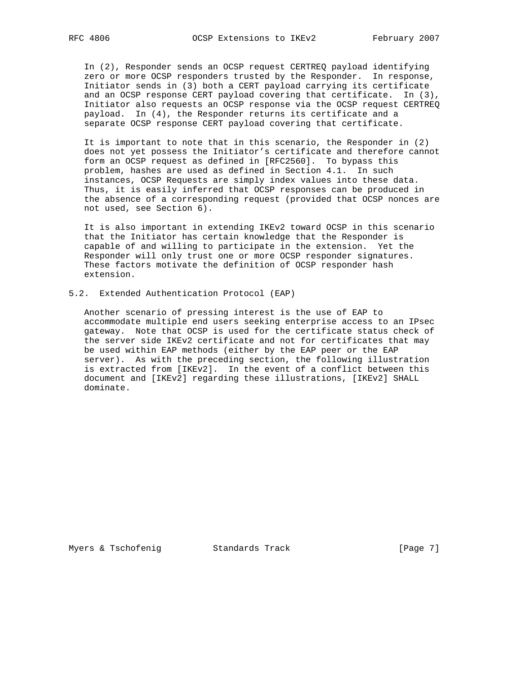In (2), Responder sends an OCSP request CERTREQ payload identifying zero or more OCSP responders trusted by the Responder. In response, Initiator sends in (3) both a CERT payload carrying its certificate and an OCSP response CERT payload covering that certificate. In (3), Initiator also requests an OCSP response via the OCSP request CERTREQ payload. In (4), the Responder returns its certificate and a separate OCSP response CERT payload covering that certificate.

 It is important to note that in this scenario, the Responder in (2) does not yet possess the Initiator's certificate and therefore cannot form an OCSP request as defined in [RFC2560]. To bypass this problem, hashes are used as defined in Section 4.1. In such instances, OCSP Requests are simply index values into these data. Thus, it is easily inferred that OCSP responses can be produced in the absence of a corresponding request (provided that OCSP nonces are not used, see Section 6).

 It is also important in extending IKEv2 toward OCSP in this scenario that the Initiator has certain knowledge that the Responder is capable of and willing to participate in the extension. Yet the Responder will only trust one or more OCSP responder signatures. These factors motivate the definition of OCSP responder hash extension.

5.2. Extended Authentication Protocol (EAP)

 Another scenario of pressing interest is the use of EAP to accommodate multiple end users seeking enterprise access to an IPsec gateway. Note that OCSP is used for the certificate status check of the server side IKEv2 certificate and not for certificates that may be used within EAP methods (either by the EAP peer or the EAP server). As with the preceding section, the following illustration is extracted from [IKEv2]. In the event of a conflict between this document and [IKEv2] regarding these illustrations, [IKEv2] SHALL dominate.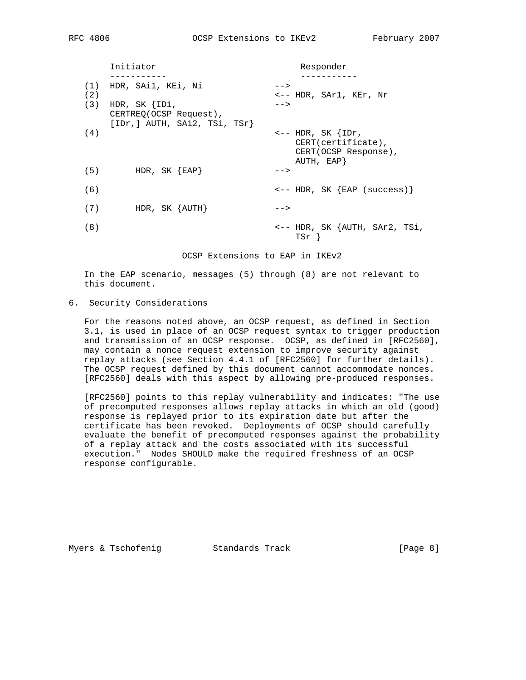|            | Initiator                                                                   | Responder                                                                                          |
|------------|-----------------------------------------------------------------------------|----------------------------------------------------------------------------------------------------|
| (1)<br>(2) | HDR, SAil, KEi, Ni                                                          | $--$<br><-- HDR, SAr1, KEr, Nr                                                                     |
| (3)        | HDR, SK $\{IDi,$<br>CERTREQ(OCSP Request),<br>[IDr, ] AUTH, SAi2, TSi, TSr} | $--$                                                                                               |
| (4)        |                                                                             | $\leftarrow$ -- HDR, SK $\{IDr,$<br>$CERT(certificate)$ ,<br>CERT(OCSP Response),<br>AUTH, $EAP$ } |
| (5)        | HDR, SK ${ERP}$                                                             | $--$                                                                                               |
| (6)        |                                                                             | $\leftarrow$ -- HDR, SK $\{EAP \text{ (success)}\}$                                                |
| (7)        | HDR, SK $\{AUTH\}$                                                          | $--$                                                                                               |
| (8)        |                                                                             | <-- HDR, SK {AUTH, SAr2, TSi,<br>TSr 1                                                             |

OCSP Extensions to EAP in IKEv2

 In the EAP scenario, messages (5) through (8) are not relevant to this document.

## 6. Security Considerations

 For the reasons noted above, an OCSP request, as defined in Section 3.1, is used in place of an OCSP request syntax to trigger production and transmission of an OCSP response. OCSP, as defined in [RFC2560], may contain a nonce request extension to improve security against replay attacks (see Section 4.4.1 of [RFC2560] for further details). The OCSP request defined by this document cannot accommodate nonces. [RFC2560] deals with this aspect by allowing pre-produced responses.

 [RFC2560] points to this replay vulnerability and indicates: "The use of precomputed responses allows replay attacks in which an old (good) response is replayed prior to its expiration date but after the certificate has been revoked. Deployments of OCSP should carefully evaluate the benefit of precomputed responses against the probability of a replay attack and the costs associated with its successful execution." Nodes SHOULD make the required freshness of an OCSP response configurable.

Myers & Tschofenig Track Chandards Track Track [Page 8]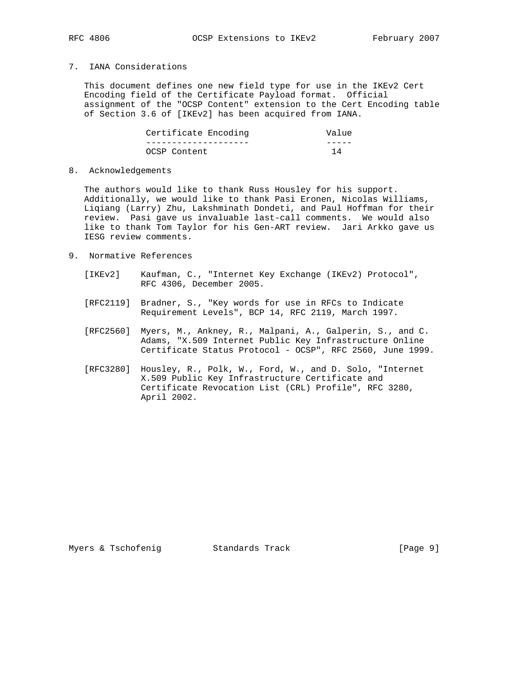# 7. IANA Considerations

 This document defines one new field type for use in the IKEv2 Cert Encoding field of the Certificate Payload format. Official assignment of the "OCSP Content" extension to the Cert Encoding table of Section 3.6 of [IKEv2] has been acquired from IANA.

| Certificate Encoding | Value |
|----------------------|-------|
|                      |       |
| OCSP Content         |       |

### 8. Acknowledgements

 The authors would like to thank Russ Housley for his support. Additionally, we would like to thank Pasi Eronen, Nicolas Williams, Liqiang (Larry) Zhu, Lakshminath Dondeti, and Paul Hoffman for their review. Pasi gave us invaluable last-call comments. We would also like to thank Tom Taylor for his Gen-ART review. Jari Arkko gave us IESG review comments.

- 9. Normative References
	- [IKEv2] Kaufman, C., "Internet Key Exchange (IKEv2) Protocol", RFC 4306, December 2005.
	- [RFC2119] Bradner, S., "Key words for use in RFCs to Indicate Requirement Levels", BCP 14, RFC 2119, March 1997.
	- [RFC2560] Myers, M., Ankney, R., Malpani, A., Galperin, S., and C. Adams, "X.509 Internet Public Key Infrastructure Online Certificate Status Protocol - OCSP", RFC 2560, June 1999.
	- [RFC3280] Housley, R., Polk, W., Ford, W., and D. Solo, "Internet X.509 Public Key Infrastructure Certificate and Certificate Revocation List (CRL) Profile", RFC 3280, April 2002.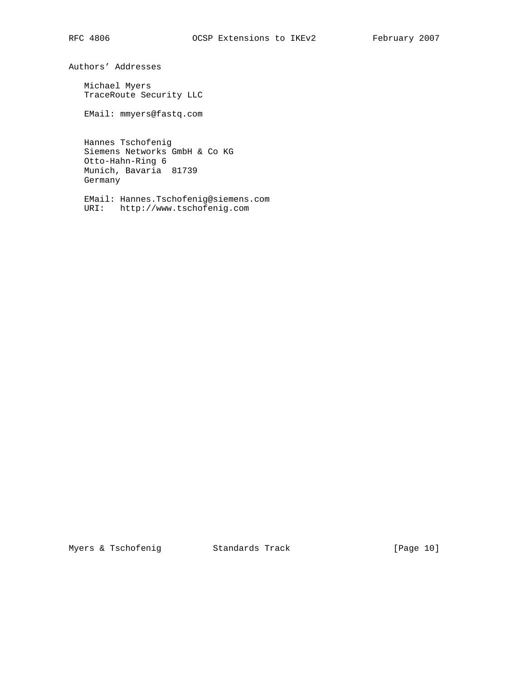Authors' Addresses

 Michael Myers TraceRoute Security LLC

EMail: mmyers@fastq.com

 Hannes Tschofenig Siemens Networks GmbH & Co KG Otto-Hahn-Ring 6 Munich, Bavaria 81739 Germany

 EMail: Hannes.Tschofenig@siemens.com URI: http://www.tschofenig.com

Myers & Tschofenig Standards Track [Page 10]